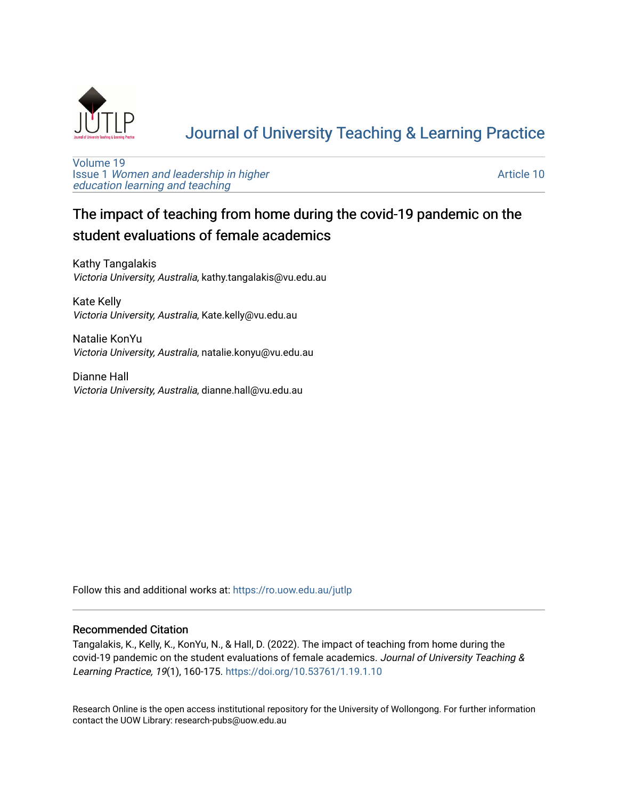

# [Journal of University Teaching & Learning Practice](https://ro.uow.edu.au/jutlp)

[Volume 19](https://ro.uow.edu.au/jutlp/vol19) Issue 1 [Women and leadership in higher](https://ro.uow.edu.au/jutlp/vol19/iss1) [education learning and teaching](https://ro.uow.edu.au/jutlp/vol19/iss1)

[Article 10](https://ro.uow.edu.au/jutlp/vol19/iss1/10) 

## The impact of teaching from home during the covid-19 pandemic on the student evaluations of female academics

Kathy Tangalakis Victoria University, Australia, kathy.tangalakis@vu.edu.au

Kate Kelly Victoria University, Australia, Kate.kelly@vu.edu.au

Natalie KonYu Victoria University, Australia, natalie.konyu@vu.edu.au

Dianne Hall Victoria University, Australia, dianne.hall@vu.edu.au

Follow this and additional works at: [https://ro.uow.edu.au/jutlp](https://ro.uow.edu.au/jutlp?utm_source=ro.uow.edu.au%2Fjutlp%2Fvol19%2Fiss1%2F10&utm_medium=PDF&utm_campaign=PDFCoverPages) 

## Recommended Citation

Tangalakis, K., Kelly, K., KonYu, N., & Hall, D. (2022). The impact of teaching from home during the covid-19 pandemic on the student evaluations of female academics. Journal of University Teaching & Learning Practice, 19(1), 160-175. <https://doi.org/10.53761/1.19.1.10>

Research Online is the open access institutional repository for the University of Wollongong. For further information contact the UOW Library: research-pubs@uow.edu.au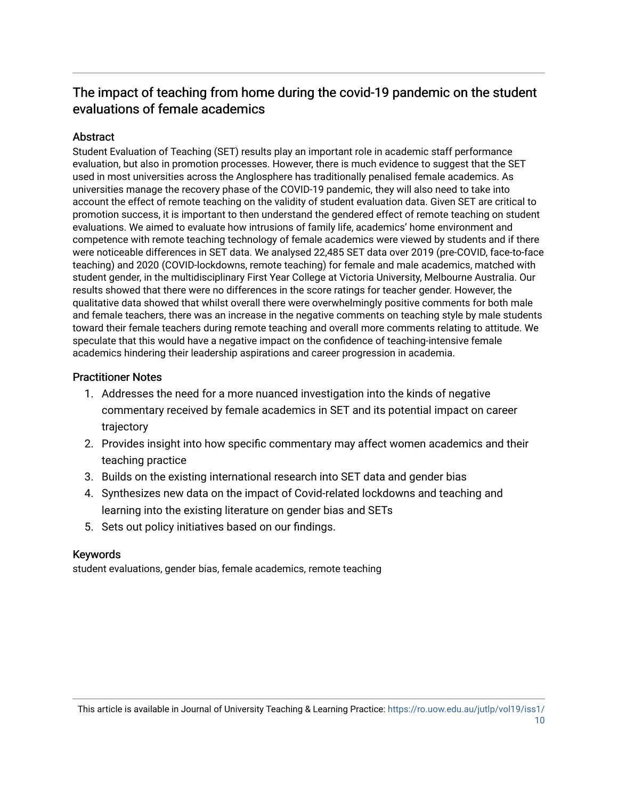## The impact of teaching from home during the covid-19 pandemic on the student evaluations of female academics

## **Abstract**

Student Evaluation of Teaching (SET) results play an important role in academic staff performance evaluation, but also in promotion processes. However, there is much evidence to suggest that the SET used in most universities across the Anglosphere has traditionally penalised female academics. As universities manage the recovery phase of the COVID-19 pandemic, they will also need to take into account the effect of remote teaching on the validity of student evaluation data. Given SET are critical to promotion success, it is important to then understand the gendered effect of remote teaching on student evaluations. We aimed to evaluate how intrusions of family life, academics' home environment and competence with remote teaching technology of female academics were viewed by students and if there were noticeable differences in SET data. We analysed 22,485 SET data over 2019 (pre-COVID, face-to-face teaching) and 2020 (COVID-lockdowns, remote teaching) for female and male academics, matched with student gender, in the multidisciplinary First Year College at Victoria University, Melbourne Australia. Our results showed that there were no differences in the score ratings for teacher gender. However, the qualitative data showed that whilst overall there were overwhelmingly positive comments for both male and female teachers, there was an increase in the negative comments on teaching style by male students toward their female teachers during remote teaching and overall more comments relating to attitude. We speculate that this would have a negative impact on the confidence of teaching-intensive female academics hindering their leadership aspirations and career progression in academia.

## Practitioner Notes

- 1. Addresses the need for a more nuanced investigation into the kinds of negative commentary received by female academics in SET and its potential impact on career trajectory
- 2. Provides insight into how specific commentary may affect women academics and their teaching practice
- 3. Builds on the existing international research into SET data and gender bias
- 4. Synthesizes new data on the impact of Covid-related lockdowns and teaching and learning into the existing literature on gender bias and SETs
- 5. Sets out policy initiatives based on our findings.

## Keywords

student evaluations, gender bias, female academics, remote teaching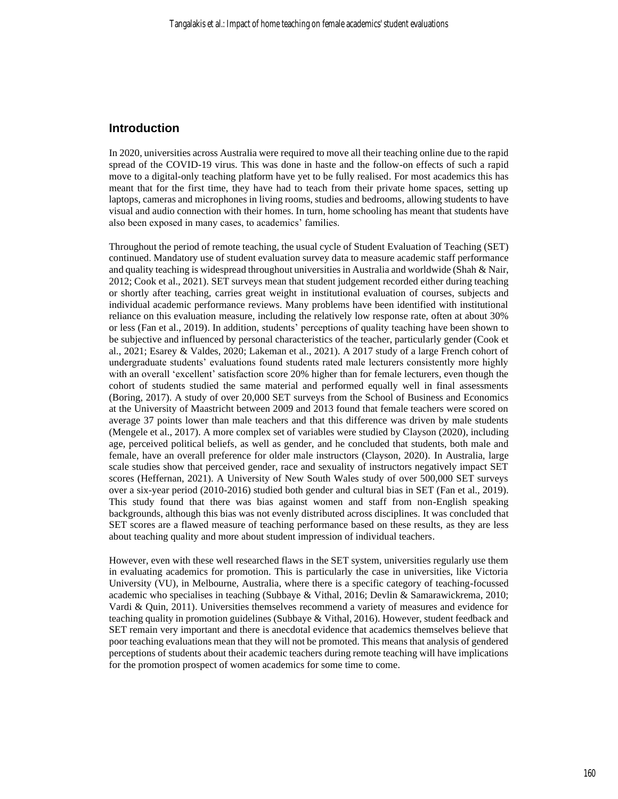### **Introduction**

In 2020, universities across Australia were required to move all their teaching online due to the rapid spread of the COVID-19 virus. This was done in haste and the follow-on effects of such a rapid move to a digital-only teaching platform have yet to be fully realised. For most academics this has meant that for the first time, they have had to teach from their private home spaces, setting up laptops, cameras and microphones in living rooms, studies and bedrooms, allowing students to have visual and audio connection with their homes. In turn, home schooling has meant that students have also been exposed in many cases, to academics' families.

Throughout the period of remote teaching, the usual cycle of Student Evaluation of Teaching (SET) continued. Mandatory use of student evaluation survey data to measure academic staff performance and quality teaching is widespread throughout universities in Australia and worldwide (Shah & Nair, 2012; Cook et al., 2021). SET surveys mean that student judgement recorded either during teaching or shortly after teaching, carries great weight in institutional evaluation of courses, subjects and individual academic performance reviews. Many problems have been identified with institutional reliance on this evaluation measure, including the relatively low response rate, often at about 30% or less (Fan et al., 2019). In addition, students' perceptions of quality teaching have been shown to be subjective and influenced by personal characteristics of the teacher, particularly gender (Cook et al., 2021; Esarey & Valdes, 2020; Lakeman et al., 2021). A 2017 study of a large French cohort of undergraduate students' evaluations found students rated male lecturers consistently more highly with an overall 'excellent' satisfaction score 20% higher than for female lecturers, even though the cohort of students studied the same material and performed equally well in final assessments (Boring, 2017). A study of over 20,000 SET surveys from the School of Business and Economics at the University of Maastricht between 2009 and 2013 found that female teachers were scored on average 37 points lower than male teachers and that this difference was driven by male students (Mengele et al., 2017). A more complex set of variables were studied by Clayson (2020), including age, perceived political beliefs, as well as gender, and he concluded that students, both male and female, have an overall preference for older male instructors (Clayson, 2020). In Australia, large scale studies show that perceived gender, race and sexuality of instructors negatively impact SET scores (Heffernan, 2021). A University of New South Wales study of over 500,000 SET surveys over a six-year period (2010-2016) studied both gender and cultural bias in SET (Fan et al., 2019). This study found that there was bias against women and staff from non-English speaking backgrounds, although this bias was not evenly distributed across disciplines. It was concluded that SET scores are a flawed measure of teaching performance based on these results, as they are less about teaching quality and more about student impression of individual teachers.

However, even with these well researched flaws in the SET system, universities regularly use them in evaluating academics for promotion. This is particularly the case in universities, like Victoria University (VU), in Melbourne, Australia, where there is a specific category of teaching-focussed academic who specialises in teaching (Subbaye & Vithal, 2016; Devlin & Samarawickrema, 2010; Vardi & Quin, 2011). Universities themselves recommend a variety of measures and evidence for teaching quality in promotion guidelines (Subbaye & Vithal, 2016). However, student feedback and SET remain very important and there is anecdotal evidence that academics themselves believe that poor teaching evaluations mean that they will not be promoted. This means that analysis of gendered perceptions of students about their academic teachers during remote teaching will have implications for the promotion prospect of women academics for some time to come.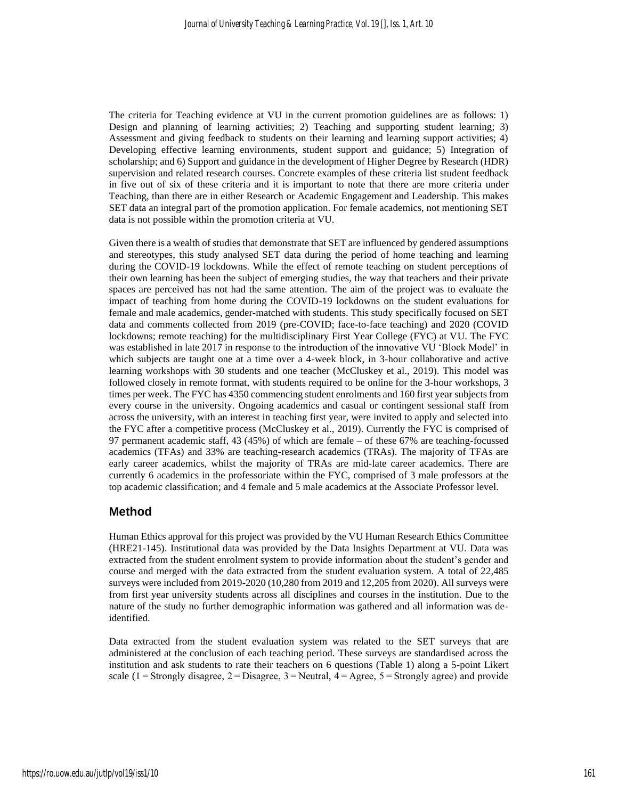The criteria for Teaching evidence at VU in the current promotion guidelines are as follows: 1) Design and planning of learning activities; 2) Teaching and supporting student learning; 3) Assessment and giving feedback to students on their learning and learning support activities; 4) Developing effective learning environments, student support and guidance; 5) Integration of scholarship; and 6) Support and guidance in the development of Higher Degree by Research (HDR) supervision and related research courses. Concrete examples of these criteria list student feedback in five out of six of these criteria and it is important to note that there are more criteria under Teaching, than there are in either Research or Academic Engagement and Leadership. This makes SET data an integral part of the promotion application. For female academics, not mentioning SET data is not possible within the promotion criteria at VU.

Given there is a wealth of studies that demonstrate that SET are influenced by gendered assumptions and stereotypes, this study analysed SET data during the period of home teaching and learning during the COVID-19 lockdowns. While the effect of remote teaching on student perceptions of their own learning has been the subject of emerging studies, the way that teachers and their private spaces are perceived has not had the same attention. The aim of the project was to evaluate the impact of teaching from home during the COVID-19 lockdowns on the student evaluations for female and male academics, gender-matched with students. This study specifically focused on SET data and comments collected from 2019 (pre-COVID; face-to-face teaching) and 2020 (COVID lockdowns; remote teaching) for the multidisciplinary First Year College (FYC) at VU. The FYC was established in late 2017 in response to the introduction of the innovative VU 'Block Model' in which subjects are taught one at a time over a 4-week block, in 3-hour collaborative and active learning workshops with 30 students and one teacher (McCluskey et al., 2019). This model was followed closely in remote format, with students required to be online for the 3-hour workshops, 3 times per week. The FYC has 4350 commencing student enrolments and 160 first year subjects from every course in the university. Ongoing academics and casual or contingent sessional staff from across the university, with an interest in teaching first year, were invited to apply and selected into the FYC after a competitive process (McCluskey et al., 2019). Currently the FYC is comprised of 97 permanent academic staff, 43 (45%) of which are female – of these 67% are teaching-focussed academics (TFAs) and 33% are teaching-research academics (TRAs). The majority of TFAs are early career academics, whilst the majority of TRAs are mid-late career academics. There are currently 6 academics in the professoriate within the FYC, comprised of 3 male professors at the top academic classification; and 4 female and 5 male academics at the Associate Professor level.

## **Method**

Human Ethics approval for this project was provided by the VU Human Research Ethics Committee (HRE21-145). Institutional data was provided by the Data Insights Department at VU. Data was extracted from the student enrolment system to provide information about the student's gender and course and merged with the data extracted from the student evaluation system. A total of 22,485 surveys were included from 2019-2020 (10,280 from 2019 and 12,205 from 2020). All surveys were from first year university students across all disciplines and courses in the institution. Due to the nature of the study no further demographic information was gathered and all information was deidentified.

Data extracted from the student evaluation system was related to the SET surveys that are administered at the conclusion of each teaching period. These surveys are standardised across the institution and ask students to rate their teachers on 6 questions (Table 1) along a 5-point Likert scale (1 = Strongly disagree, 2 = Disagree, 3 = Neutral,  $4 = \text{Agree}$ , 5 = Strongly agree) and provide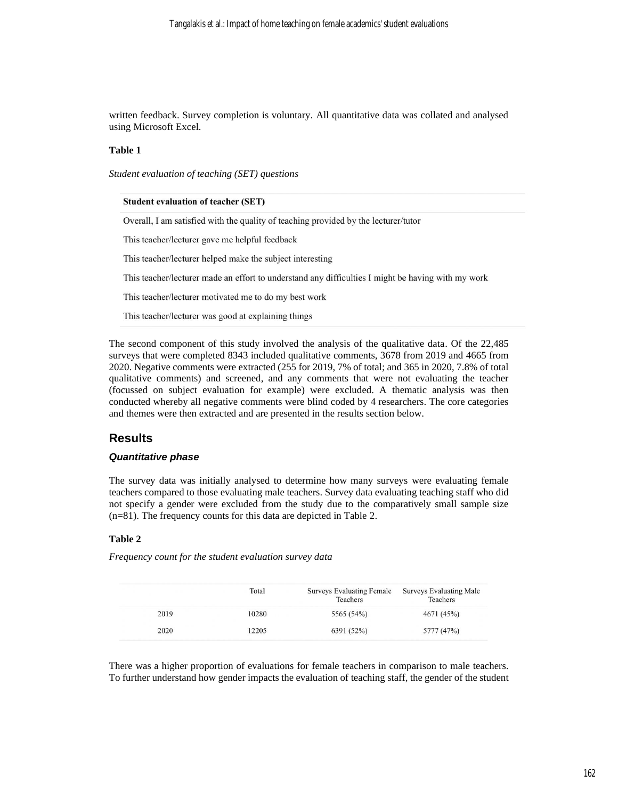written feedback. Survey completion is voluntary. All quantitative data was collated and analysed using Microsoft Excel.

#### **Table 1**

*Student evaluation of teaching (SET) questions*

| <b>Student evaluation of teacher (SET)</b>                                                         |
|----------------------------------------------------------------------------------------------------|
| Overall, I am satisfied with the quality of teaching provided by the lecturer/tutor                |
| This teacher/lecturer gave me helpful feedback                                                     |
| This teacher/lecturer helped make the subject interesting                                          |
| This teacher/lecturer made an effort to understand any difficulties I might be having with my work |
| This teacher/lecturer motivated me to do my best work                                              |
| This teacher/lecturer was good at explaining things                                                |

The second component of this study involved the analysis of the qualitative data. Of the 22,485 surveys that were completed 8343 included qualitative comments, 3678 from 2019 and 4665 from 2020. Negative comments were extracted (255 for 2019, 7% of total; and 365 in 2020, 7.8% of total qualitative comments) and screened, and any comments that were not evaluating the teacher (focussed on subject evaluation for example) were excluded. A thematic analysis was then conducted whereby all negative comments were blind coded by 4 researchers. The core categories and themes were then extracted and are presented in the results section below.

## **Results**

#### *Quantitative phase*

The survey data was initially analysed to determine how many surveys were evaluating female teachers compared to those evaluating male teachers. Survey data evaluating teaching staff who did not specify a gender were excluded from the study due to the comparatively small sample size (n=81). The frequency counts for this data are depicted in Table 2.

#### **Table 2**

*Frequency count for the student evaluation survey data*

|      | Total | <b>Surveys Evaluating Female</b><br>Teachers | <b>Surveys Evaluating Male</b><br>Teachers |
|------|-------|----------------------------------------------|--------------------------------------------|
| 2019 | 10280 | 5565 (54%)                                   | 4671 (45%)                                 |
| 2020 | 12205 | 6391 (52%)                                   | 5777 (47%)                                 |

There was a higher proportion of evaluations for female teachers in comparison to male teachers. To further understand how gender impacts the evaluation of teaching staff, the gender of the student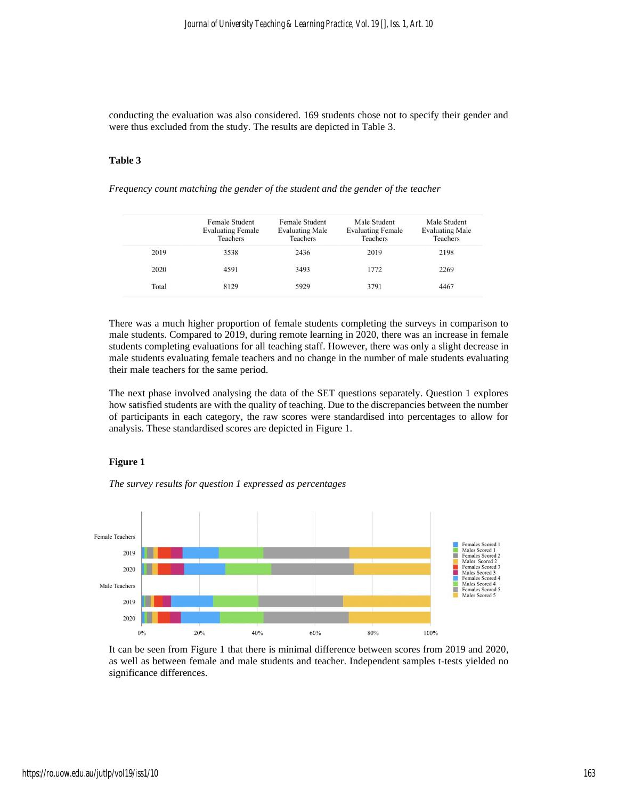conducting the evaluation was also considered. 169 students chose not to specify their gender and were thus excluded from the study. The results are depicted in Table 3.

#### **Table 3**

*Frequency count matching the gender of the student and the gender of the teacher*

|       | Female Student<br><b>Evaluating Female</b><br>Teachers | Female Student<br><b>Evaluating Male</b><br>Teachers | Male Student<br><b>Evaluating Female</b><br>Teachers | Male Student<br><b>Evaluating Male</b><br>Teachers |
|-------|--------------------------------------------------------|------------------------------------------------------|------------------------------------------------------|----------------------------------------------------|
| 2019  | 3538                                                   | 2436                                                 | 2019                                                 | 2198                                               |
| 2020  | 4591                                                   | 3493                                                 | 1772                                                 | 2269                                               |
| Total | 8129                                                   | 5929                                                 | 3791                                                 | 4467                                               |
|       |                                                        |                                                      |                                                      |                                                    |

There was a much higher proportion of female students completing the surveys in comparison to male students. Compared to 2019, during remote learning in 2020, there was an increase in female students completing evaluations for all teaching staff. However, there was only a slight decrease in male students evaluating female teachers and no change in the number of male students evaluating their male teachers for the same period.

The next phase involved analysing the data of the SET questions separately. Question 1 explores how satisfied students are with the quality of teaching. Due to the discrepancies between the number of participants in each category, the raw scores were standardised into percentages to allow for analysis. These standardised scores are depicted in Figure 1.

#### **Figure 1**

*The survey results for question 1 expressed as percentages*



It can be seen from Figure 1 that there is minimal difference between scores from 2019 and 2020, as well as between female and male students and teacher. Independent samples t-tests yielded no significance differences.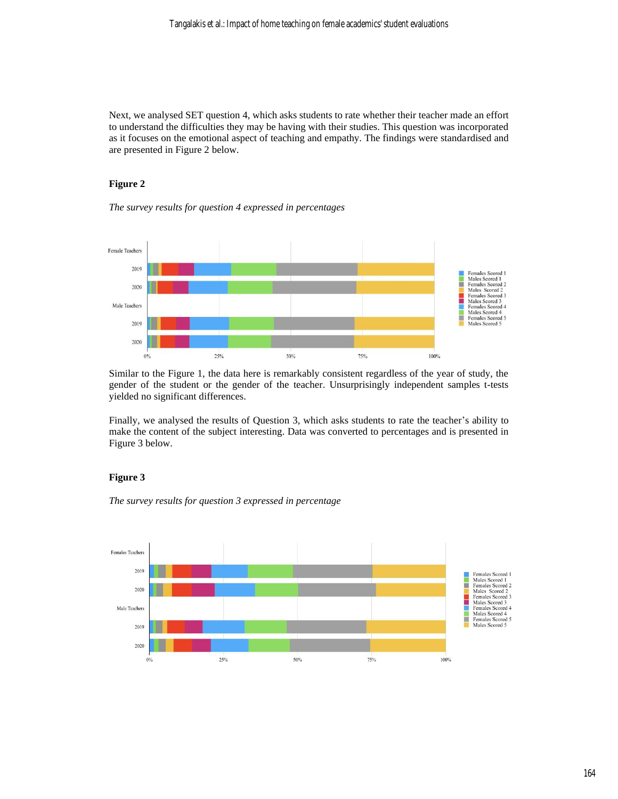Next, we analysed SET question 4, which asks students to rate whether their teacher made an effort to understand the difficulties they may be having with their studies. This question was incorporated as it focuses on the emotional aspect of teaching and empathy. The findings were standardised and are presented in Figure 2 below.

#### **Figure 2**

#### *The survey results for question 4 expressed in percentages*



Similar to the Figure 1, the data here is remarkably consistent regardless of the year of study, the gender of the student or the gender of the teacher. Unsurprisingly independent samples t-tests yielded no significant differences.

Finally, we analysed the results of Question 3, which asks students to rate the teacher's ability to make the content of the subject interesting. Data was converted to percentages and is presented in Figure 3 below.

#### **Figure 3**

*The survey results for question 3 expressed in percentage*

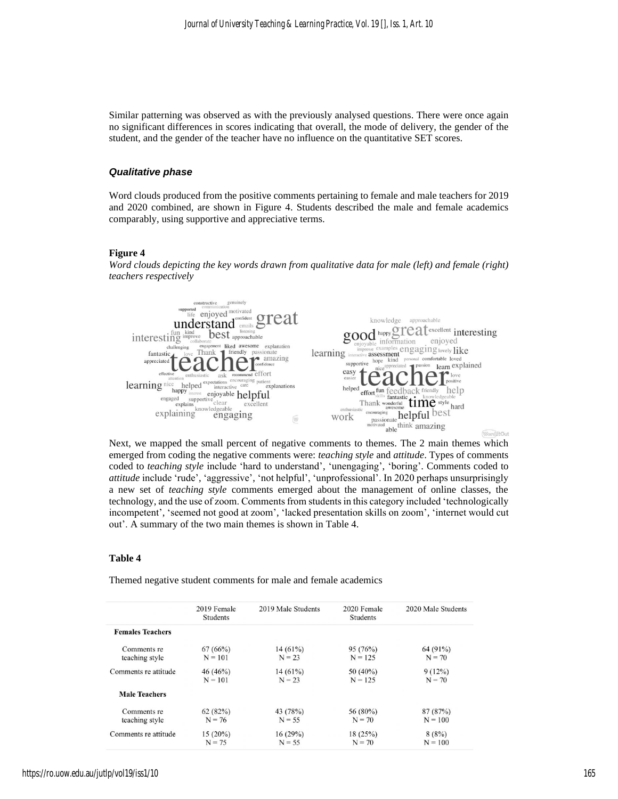Similar patterning was observed as with the previously analysed questions. There were once again no significant differences in scores indicating that overall, the mode of delivery, the gender of the student, and the gender of the teacher have no influence on the quantitative SET scores.

#### *Qualitative phase*

Word clouds produced from the positive comments pertaining to female and male teachers for 2019 and 2020 combined, are shown in Figure 4. Students described the male and female academics comparably, using supportive and appreciative terms.

#### **Figure 4**

*Word clouds depicting the key words drawn from qualitative data for male (left) and female (right) teachers respectively*



Next, we mapped the small percent of negative comments to themes. The 2 main themes which emerged from coding the negative comments were: *teaching style* and *attitude*. Types of comments coded to *teaching style* include 'hard to understand', 'unengaging', 'boring'. Comments coded to *attitude* include 'rude', 'aggressive', 'not helpful', 'unprofessional'. In 2020 perhaps unsurprisingly a new set of *teaching style* comments emerged about the management of online classes, the technology, and the use of zoom. Comments from students in this category included 'technologically incompetent', 'seemed not good at zoom', 'lacked presentation skills on zoom', 'internet would cut out'. A summary of the two main themes is shown in Table 4.

#### **Table 4**

Themed negative student comments for male and female academics

|                         | 2019 Female<br><b>Students</b> | 2019 Male Students | 2020 Female<br><b>Students</b> | 2020 Male Students |
|-------------------------|--------------------------------|--------------------|--------------------------------|--------------------|
| <b>Females Teachers</b> |                                |                    |                                |                    |
| Comments re             | 67(66%)                        | $14(61\%)$         | 95(76%)                        | 64 (91%)           |
| teaching style          | $N = 101$                      | $N = 23$           | $N = 125$                      | $N = 70$           |
| Comments re attitude    | 46(46%)                        | $14(61\%)$         | $50(40\%)$                     | $9(12\%)$          |
|                         | $N = 101$                      | $N = 23$           | $N = 125$                      | $N = 70$           |
| <b>Male Teachers</b>    |                                |                    |                                |                    |
| Comments re             | 62(82%)                        | 43 (78%)           | 56 (80%)                       | 87(87%)            |
| teaching style          | $N = 76$                       | $N = 55$           | $N = 70$                       | $N = 100$          |
| Comments re attitude    | $15(20\%)$                     | 16(29%)            | 18(25%)                        | 8(8%)              |
|                         | $N = 75$                       | $N = 55$           | $N = 70$                       | $N = 100$          |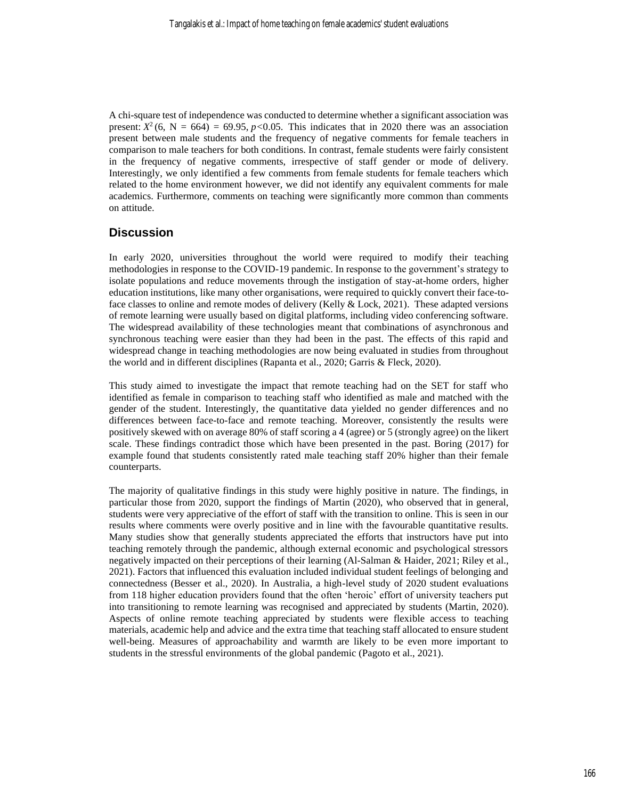A chi-square test of independence was conducted to determine whether a significant association was present:  $X^2$  (6, N = 664) = 69.95, *p*<0.05. This indicates that in 2020 there was an association present between male students and the frequency of negative comments for female teachers in comparison to male teachers for both conditions. In contrast, female students were fairly consistent in the frequency of negative comments, irrespective of staff gender or mode of delivery. Interestingly, we only identified a few comments from female students for female teachers which related to the home environment however, we did not identify any equivalent comments for male academics. Furthermore, comments on teaching were significantly more common than comments on attitude.

## **Discussion**

In early 2020, universities throughout the world were required to modify their teaching methodologies in response to the COVID-19 pandemic. In response to the government's strategy to isolate populations and reduce movements through the instigation of stay-at-home orders, higher education institutions, like many other organisations, were required to quickly convert their face-toface classes to online and remote modes of delivery (Kelly & Lock, 2021). These adapted versions of remote learning were usually based on digital platforms, including video conferencing software. The widespread availability of these technologies meant that combinations of asynchronous and synchronous teaching were easier than they had been in the past. The effects of this rapid and widespread change in teaching methodologies are now being evaluated in studies from throughout the world and in different disciplines (Rapanta et al., 2020; Garris & Fleck, 2020).

This study aimed to investigate the impact that remote teaching had on the SET for staff who identified as female in comparison to teaching staff who identified as male and matched with the gender of the student. Interestingly, the quantitative data yielded no gender differences and no differences between face-to-face and remote teaching. Moreover, consistently the results were positively skewed with on average 80% of staff scoring a 4 (agree) or 5 (strongly agree) on the likert scale. These findings contradict those which have been presented in the past. Boring (2017) for example found that students consistently rated male teaching staff 20% higher than their female counterparts.

The majority of qualitative findings in this study were highly positive in nature. The findings, in particular those from 2020, support the findings of Martin (2020), who observed that in general, students were very appreciative of the effort of staff with the transition to online. This is seen in our results where comments were overly positive and in line with the favourable quantitative results. Many studies show that generally students appreciated the efforts that instructors have put into teaching remotely through the pandemic, although external economic and psychological stressors negatively impacted on their perceptions of their learning (Al-Salman & Haider, 2021; Riley et al., 2021). Factors that influenced this evaluation included individual student feelings of belonging and connectedness (Besser et al., 2020). In Australia, a high-level study of 2020 student evaluations from 118 higher education providers found that the often 'heroic' effort of university teachers put into transitioning to remote learning was recognised and appreciated by students (Martin, 2020). Aspects of online remote teaching appreciated by students were flexible access to teaching materials, academic help and advice and the extra time that teaching staff allocated to ensure student well-being. Measures of approachability and warmth are likely to be even more important to students in the stressful environments of the global pandemic (Pagoto et al., 2021).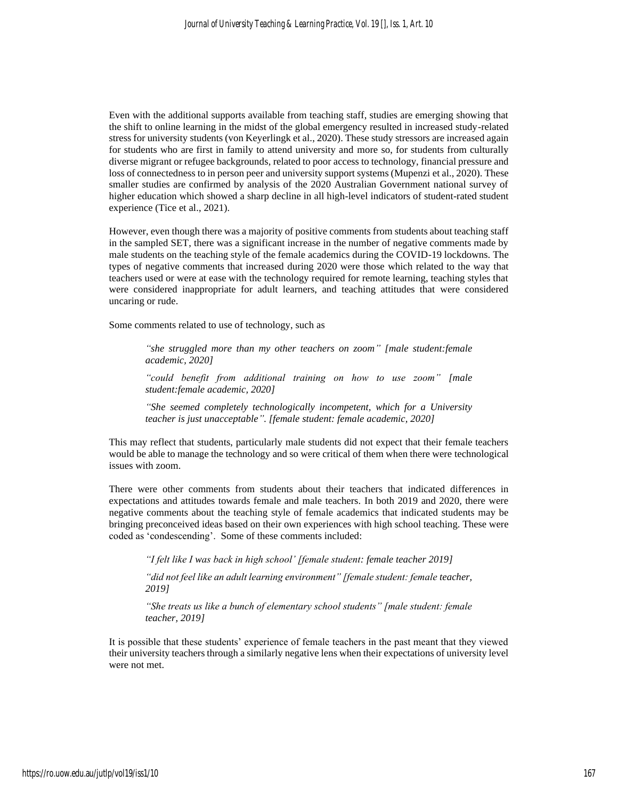Even with the additional supports available from teaching staff, studies are emerging showing that the shift to online learning in the midst of the global emergency resulted in increased study-related stress for university students (von Keyerlingk et al., 2020). These study stressors are increased again for students who are first in family to attend university and more so, for students from culturally diverse migrant or refugee backgrounds, related to poor access to technology, financial pressure and loss of connectedness to in person peer and university support systems (Mupenzi et al., 2020). These smaller studies are confirmed by analysis of the 2020 Australian Government national survey of higher education which showed a sharp decline in all high-level indicators of student-rated student experience (Tice et al., 2021).

However, even though there was a majority of positive comments from students about teaching staff in the sampled SET, there was a significant increase in the number of negative comments made by male students on the teaching style of the female academics during the COVID-19 lockdowns. The types of negative comments that increased during 2020 were those which related to the way that teachers used or were at ease with the technology required for remote learning, teaching styles that were considered inappropriate for adult learners, and teaching attitudes that were considered uncaring or rude.

Some comments related to use of technology, such as

*"she struggled more than my other teachers on zoom" [male student:female academic, 2020]*

*"could benefit from additional training on how to use zoom" [male student:female academic, 2020]*

*"She seemed completely technologically incompetent, which for a University teacher is just unacceptable". [female student: female academic, 2020]*

This may reflect that students, particularly male students did not expect that their female teachers would be able to manage the technology and so were critical of them when there were technological issues with zoom.

There were other comments from students about their teachers that indicated differences in expectations and attitudes towards female and male teachers. In both 2019 and 2020, there were negative comments about the teaching style of female academics that indicated students may be bringing preconceived ideas based on their own experiences with high school teaching. These were coded as 'condescending'. Some of these comments included:

*"I felt like I was back in high school' [female student: female teacher 2019]*

*"did not feel like an adult learning environment" [female student: female teacher, 2019]*

*"She treats us like a bunch of elementary school students" [male student: female teacher, 2019]*

It is possible that these students' experience of female teachers in the past meant that they viewed their university teachers through a similarly negative lens when their expectations of university level were not met.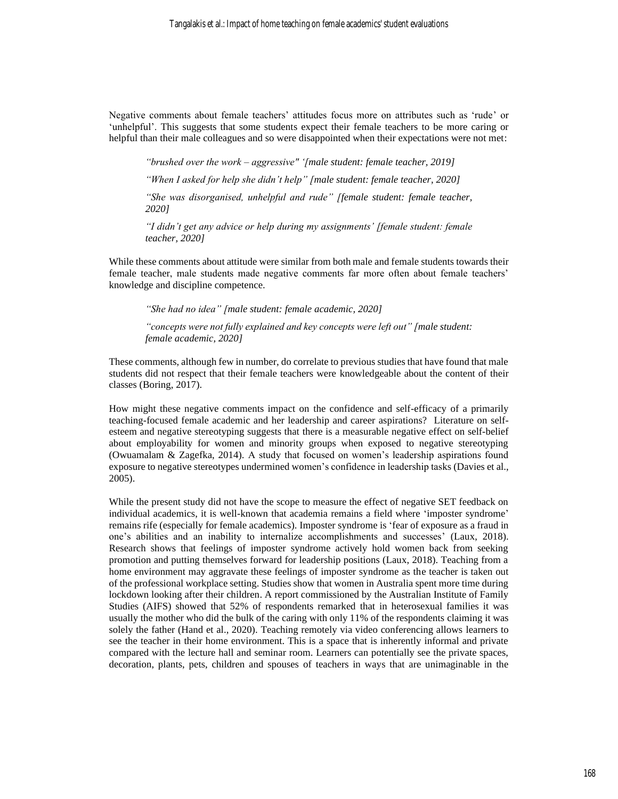Negative comments about female teachers' attitudes focus more on attributes such as 'rude' or 'unhelpful'. This suggests that some students expect their female teachers to be more caring or helpful than their male colleagues and so were disappointed when their expectations were not met:

*"brushed over the work – aggressive" '[male student: female teacher, 2019]*

*"When I asked for help she didn't help" [male student: female teacher, 2020]*

*"She was disorganised, unhelpful and rude" [female student: female teacher, 2020]*

*"I didn't get any advice or help during my assignments' [female student: female teacher, 2020]*

While these comments about attitude were similar from both male and female students towards their female teacher, male students made negative comments far more often about female teachers' knowledge and discipline competence.

*"She had no idea" [male student: female academic, 2020]*

*"concepts were not fully explained and key concepts were left out" [male student: female academic, 2020]*

These comments, although few in number, do correlate to previous studies that have found that male students did not respect that their female teachers were knowledgeable about the content of their classes (Boring, 2017).

How might these negative comments impact on the confidence and self-efficacy of a primarily teaching-focused female academic and her leadership and career aspirations? Literature on selfesteem and negative stereotyping suggests that there is a measurable negative effect on self-belief about employability for women and minority groups when exposed to negative stereotyping (Owuamalam & Zagefka, 2014). A study that focused on women's leadership aspirations found exposure to negative stereotypes undermined women's confidence in leadership tasks (Davies et al., 2005).

While the present study did not have the scope to measure the effect of negative SET feedback on individual academics, it is well-known that academia remains a field where 'imposter syndrome' remains rife (especially for female academics). Imposter syndrome is 'fear of exposure as a fraud in one's abilities and an inability to internalize accomplishments and successes' (Laux, 2018). Research shows that feelings of imposter syndrome actively hold women back from seeking promotion and putting themselves forward for leadership positions (Laux, 2018). Teaching from a home environment may aggravate these feelings of imposter syndrome as the teacher is taken out of the professional workplace setting. Studies show that women in Australia spent more time during lockdown looking after their children. A report commissioned by the Australian Institute of Family Studies (AIFS) showed that 52% of respondents remarked that in heterosexual families it was usually the mother who did the bulk of the caring with only 11% of the respondents claiming it was solely the father (Hand et al., 2020). Teaching remotely via video conferencing allows learners to see the teacher in their home environment. This is a space that is inherently informal and private compared with the lecture hall and seminar room. Learners can potentially see the private spaces, decoration, plants, pets, children and spouses of teachers in ways that are unimaginable in the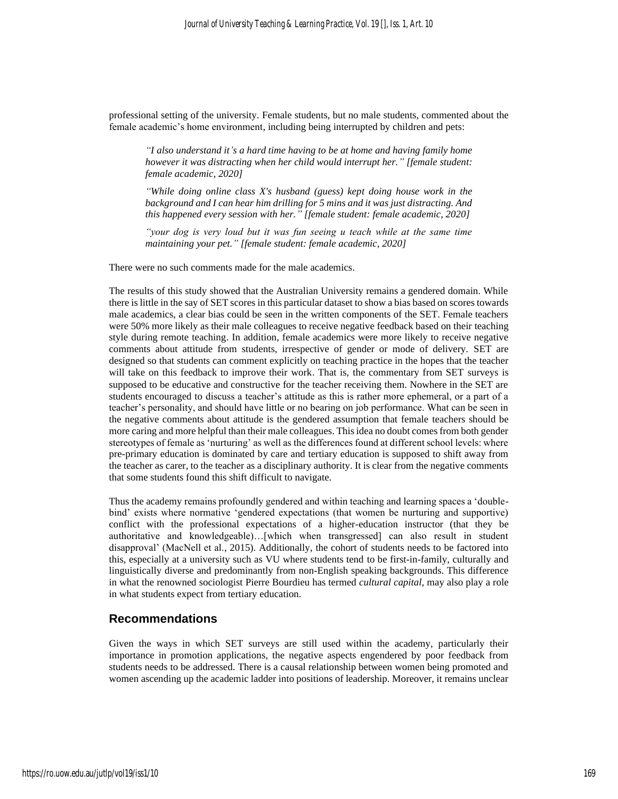professional setting of the university. Female students, but no male students, commented about the female academic's home environment, including being interrupted by children and pets:

*"I also understand it's a hard time having to be at home and having family home however it was distracting when her child would interrupt her." [female student: female academic, 2020]*

*"While doing online class X's husband (guess) kept doing house work in the background and I can hear him drilling for 5 mins and it was just distracting. And this happened every session with her." [female student: female academic, 2020]*

"your dog is very loud but it was fun seeing u teach while at the same time *maintaining your pet." [female student: female academic, 2020]*

There were no such comments made for the male academics.

The results of this study showed that the Australian University remains a gendered domain. While there is little in the say of SET scores in this particular dataset to show a bias based on scores towards male academics, a clear bias could be seen in the written components of the SET. Female teachers were 50% more likely as their male colleagues to receive negative feedback based on their teaching style during remote teaching. In addition, female academics were more likely to receive negative comments about attitude from students, irrespective of gender or mode of delivery. SET are designed so that students can comment explicitly on teaching practice in the hopes that the teacher will take on this feedback to improve their work. That is, the commentary from SET surveys is supposed to be educative and constructive for the teacher receiving them. Nowhere in the SET are students encouraged to discuss a teacher's attitude as this is rather more ephemeral, or a part of a teacher's personality, and should have little or no bearing on job performance. What can be seen in the negative comments about attitude is the gendered assumption that female teachers should be more caring and more helpful than their male colleagues. This idea no doubt comes from both gender stereotypes of female as 'nurturing' as well as the differences found at different school levels: where pre-primary education is dominated by care and tertiary education is supposed to shift away from the teacher as carer, to the teacher as a disciplinary authority. It is clear from the negative comments that some students found this shift difficult to navigate.

Thus the academy remains profoundly gendered and within teaching and learning spaces a 'doublebind' exists where normative 'gendered expectations (that women be nurturing and supportive) conflict with the professional expectations of a higher-education instructor (that they be authoritative and knowledgeable)…[which when transgressed] can also result in student disapproval' (MacNell et al., 2015). Additionally, the cohort of students needs to be factored into this, especially at a university such as VU where students tend to be first-in-family, culturally and linguistically diverse and predominantly from non-English speaking backgrounds. This difference in what the renowned sociologist Pierre Bourdieu has termed *cultural capital,* may also play a role in what students expect from tertiary education.

## **Recommendations**

Given the ways in which SET surveys are still used within the academy, particularly their importance in promotion applications, the negative aspects engendered by poor feedback from students needs to be addressed. There is a causal relationship between women being promoted and women ascending up the academic ladder into positions of leadership. Moreover, it remains unclear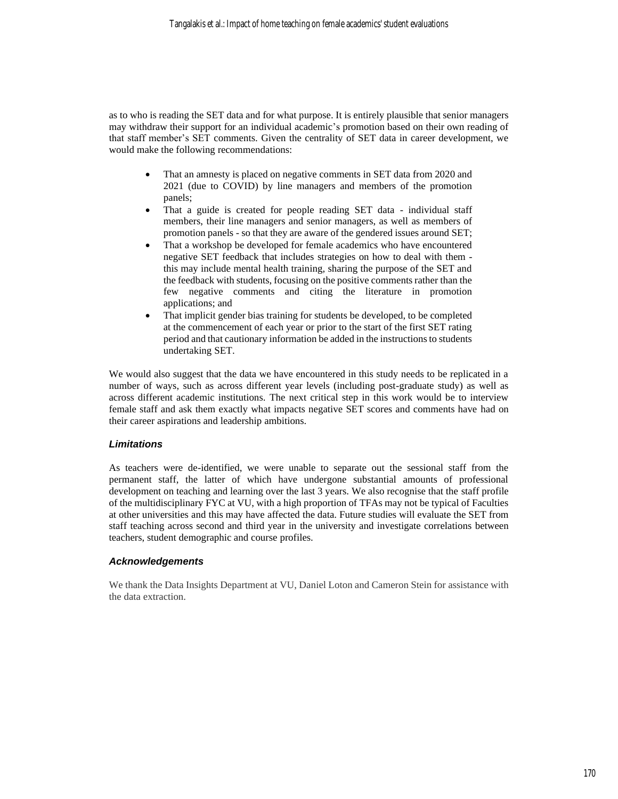as to who is reading the SET data and for what purpose. It is entirely plausible that senior managers may withdraw their support for an individual academic's promotion based on their own reading of that staff member's SET comments. Given the centrality of SET data in career development, we would make the following recommendations:

- That an amnesty is placed on negative comments in SET data from 2020 and 2021 (due to COVID) by line managers and members of the promotion panels;
- That a guide is created for people reading SET data individual staff members, their line managers and senior managers, as well as members of promotion panels - so that they are aware of the gendered issues around SET;
- That a workshop be developed for female academics who have encountered negative SET feedback that includes strategies on how to deal with them this may include mental health training, sharing the purpose of the SET and the feedback with students, focusing on the positive comments rather than the few negative comments and citing the literature in promotion applications; and
- That implicit gender bias training for students be developed, to be completed at the commencement of each year or prior to the start of the first SET rating period and that cautionary information be added in the instructions to students undertaking SET.

We would also suggest that the data we have encountered in this study needs to be replicated in a number of ways, such as across different year levels (including post-graduate study) as well as across different academic institutions. The next critical step in this work would be to interview female staff and ask them exactly what impacts negative SET scores and comments have had on their career aspirations and leadership ambitions.

## *Limitations*

As teachers were de-identified, we were unable to separate out the sessional staff from the permanent staff, the latter of which have undergone substantial amounts of professional development on teaching and learning over the last 3 years. We also recognise that the staff profile of the multidisciplinary FYC at VU, with a high proportion of TFAs may not be typical of Faculties at other universities and this may have affected the data. Future studies will evaluate the SET from staff teaching across second and third year in the university and investigate correlations between teachers, student demographic and course profiles.

## *Acknowledgements*

We thank the Data Insights Department at VU, Daniel Loton and Cameron Stein for assistance with the data extraction.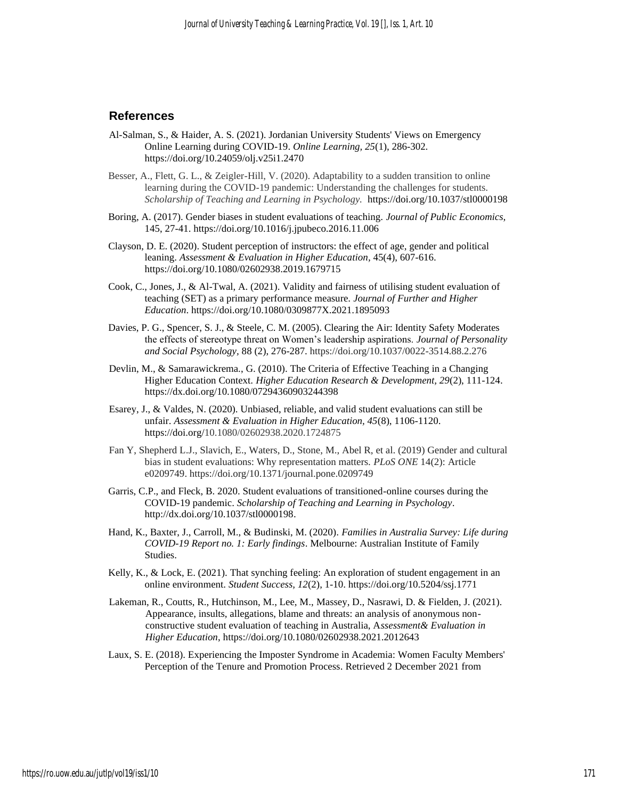## **References**

- Al-Salman, S., & Haider, A. S. (2021). Jordanian University Students' Views on Emergency Online Learning during COVID-19. *Online Learning, 25*(1), 286-302. https://doi.org/10.24059/olj.v25i1.2470
- Besser, A., Flett, G. L., & Zeigler-Hill, V. (2020). Adaptability to a sudden transition to online learning during the COVID-19 pandemic: Understanding the challenges for students. *Scholarship of Teaching and Learning in Psychology.* [https://doi.org/10.1037/stl0000198](https://psycnet.apa.org/doi/10.1037/stl0000198)
- Boring, A. (2017). Gender biases in student evaluations of teaching. *Journal of Public Economics,* 145, 27-41. <https://doi.org/10.1016/j.jpubeco.2016.11.006>
- Clayson, D. E. (2020). Student perception of instructors: the effect of age, gender and political leaning. *Assessment & Evaluation in Higher Education,* 45(4), 607-616. <https://doi.org/10.1080/02602938.2019.1679715>
- Cook, C., Jones, J., & Al-Twal, A. (2021). Validity and fairness of utilising student evaluation of teaching (SET) as a primary performance measure. *Journal of Further and Higher Education*[. https://doi.org/10.1080/0309877X.2021.1895093](https://doi.org/10.1080/0309877X.2021.1895093)
- Davies, P. G., Spencer, S. J., & Steele, C. M. (2005). Clearing the Air: Identity Safety Moderates the effects of stereotype threat on Women's leadership aspirations. *Journal of Personality and Social Psychology,* 88 (2), 276-287. https://doi.org/10.1037/0022-3514.88.2.276
- Devlin, M., & Samarawickrema., G. (2010). The Criteria of Effective Teaching in a Changing Higher Education Context. *Higher Education Research & Development, 29*(2), 111-124. https://dx.doi.org/10.1080/07294360903244398
- Esarey, J., & Valdes, N. (2020). Unbiased, reliable, and valid student evaluations can still be unfair. *Assessment & Evaluation in Higher Education, 45*(8), 1106-1120. https://doi.org[/10.1080/02602938.2020.1724875](https://doi.org/10.1080/02602938.2020.1724875)
- Fan Y, Shepherd L.J., Slavich, E., Waters, D., Stone, M., Abel R, et al. (2019) Gender and cultural bias in student evaluations: Why representation matters. *PLoS ONE* 14(2): Article e0209749. https://doi.org/10.1371/journal.pone.0209749
- Garris, C.P., and Fleck, B. 2020. Student evaluations of transitioned-online courses during the COVID-19 pandemic. *Scholarship of Teaching and Learning in Psychology*. [http://dx.doi.org/10.1037/stl0000198.](http://dx.doi.org/10.1037/stl0000198)
- Hand, K., Baxter, J., Carroll, M., & Budinski, M. (2020). *[Families in Australia Survey: Life during](https://aifs.gov.au/publications/families-australia-survey-life-during-covid-19)  [COVID-19 Report no. 1: Early findings](https://aifs.gov.au/publications/families-australia-survey-life-during-covid-19)*. Melbourne: Australian Institute of Family Studies.
- Kelly, K., & Lock, E. (2021). That synching feeling: An exploration of student engagement in an online environment. *Student Success, 12*(2), 1-10.<https://doi.org/10.5204/ssj.1771>
- Lakeman, R., Coutts, R., Hutchinson, M., Lee, M., Massey, D., Nasrawi, D. & Fielden, J. (2021). Appearance, insults, allegations, blame and threats: an analysis of anonymous nonconstructive student evaluation of teaching in Australia, A*ssessment& Evaluation in Higher Education*, https://doi.org/10.1080/02602938.2021.2012643
- Laux, S. E. (2018). Experiencing the Imposter Syndrome in Academia: Women Faculty Members' Perception of the Tenure and Promotion Process. Retrieved 2 December 2021 from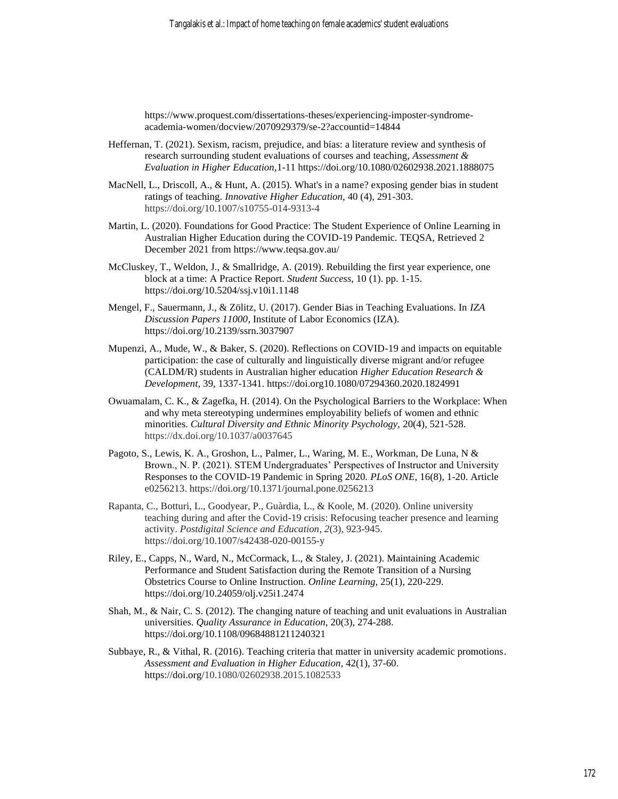https://www.proquest.com/dissertations-theses/experiencing-imposter-syndromeacademia-women/docview/2070929379/se-2?accountid=14844

- Heffernan, T. (2021). Sexism, racism, prejudice, and bias: a literature review and synthesis of research surrounding student evaluations of courses and teaching, *Assessment & Evaluation in Higher Education,*1-11 <https://doi.org/10.1080/02602938.2021.1888075>
- MacNell, L., Driscoll, A., & Hunt, A. (2015). What's in a name? exposing gender bias in student ratings of teaching. *Innovative Higher Education,* 40 (4), 291-303. https://doi.org/10.1007/s10755-014-9313-4
- Martin, L. (2020). Foundations for Good Practice: The Student Experience of Online Learning in Australian Higher Education during the COVID-19 Pandemic. TEQSA, Retrieved 2 December 2021 from https://www.teqsa.gov.au/
- McCluskey, T., Weldon, J., & Smallridge, A. (2019). Rebuilding the first year experience, one block at a time: A Practice Report. *Student Success*, 10 (1). pp. 1-15. https://doi.org/10.5204/ssj.v10i1.1148
- Mengel, F., Sauermann, J., & Zölitz, U. (2017). Gender Bias in Teaching Evaluations. In *IZA Discussion Papers 11000,* Institute of Labor Economics (IZA). https://doi.org/10.2139/ssrn.3037907
- Mupenzi, A., Mude, W., & Baker, S. (2020). Reflections on COVID-19 and impacts on equitable participation: the case of culturally and linguistically diverse migrant and/or refugee (CALDM/R) students in Australian higher education *Higher Education Research & Development,* 39, 1337-1341. https://doi.org10.1080/07294360.2020.1824991
- Owuamalam, C. K., & Zagefka, H. (2014). On the Psychological Barriers to the Workplace: When and why meta stereotyping undermines employability beliefs of women and ethnic minorities. *Cultural Diversity and Ethnic Minority Psychology,* 20(4), 521-528. https://dx.doi.org/10.1037/a0037645
- Pagoto, S., Lewis, K. A., Groshon, L., Palmer, L., Waring, M. E., Workman, De Luna, N & Brown., N. P. (2021). STEM Undergraduates' Perspectives of Instructor and University Responses to the COVID-19 Pandemic in Spring 2020. *PLoS ONE,* 16(8), 1-20. Article e0256213. https://doi.org/10.1371/journal.pone.0256213
- Rapanta, C., Botturi, L., Goodyear, P., Guàrdia, L., & Koole, M. (2020). Online university teaching during and after the Covid-19 crisis: Refocusing teacher presence and learning activity. *Postdigital Science and Education*, *2*(3), 923-945. https://doi.org/10.1007/s42438-020-00155-y
- Riley, E., Capps, N., Ward, N., McCormack, L., & Staley, J. (2021). Maintaining Academic Performance and Student Satisfaction during the Remote Transition of a Nursing Obstetrics Course to Online Instruction. *Online Learning,* 25(1), 220-229. https://doi.org/10.24059/olj.v25i1.2474
- Shah, M., & Nair, C. S. (2012). The changing nature of teaching and unit evaluations in Australian universities. *Quality Assurance in Education,* 20(3), 274-288. <https://doi.org/10.1108/09684881211240321>
- Subbaye, R., & Vithal, R. (2016). Teaching criteria that matter in university academic promotions. *Assessment and Evaluation in Higher Education*, 42(1), 37-60. https://doi.org[/10.1080/02602938.2015.1082533](https://doi.org/10.1080/02602938.2015.1082533)